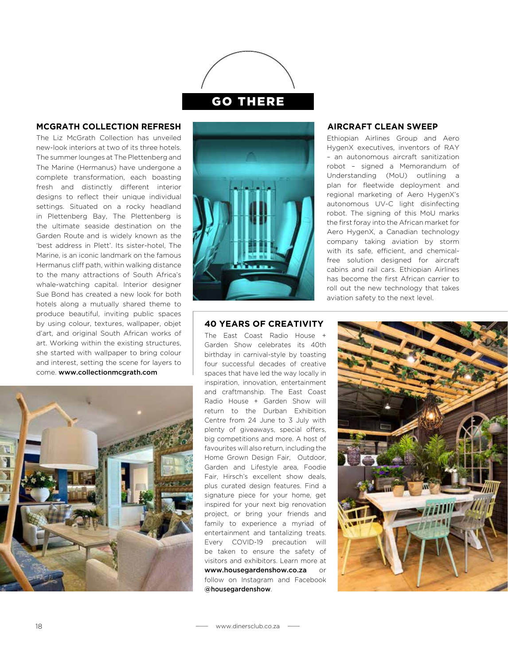

## **MCGRATH COLLECTION REFRESH**

The Liz McGrath Collection has unveiled new-look interiors at two of its three hotels. The summer lounges at The Plettenberg and The Marine (Hermanus) have undergone a complete transformation, each boasting fresh and distinctly different interior designs to reflect their unique individual settings. Situated on a rocky headland in Plettenberg Bay, The Plettenberg is the ultimate seaside destination on the Garden Route and is widely known as the 'best address in Plett'. Its sister-hotel, The Marine, is an iconic landmark on the famous Hermanus cliff path, within walking distance to the many attractions of South Africa's whale-watching capital. Interior designer Sue Bond has created a new look for both hotels along a mutually shared theme to produce beautiful, inviting public spaces by using colour, textures, wallpaper, objet d'art, and original South African works of art. Working within the existing structures, she started with wallpaper to bring colour and interest, setting the scene for layers to come. www.collectionmcgrath.com





## **AIRCRAFT CLEAN SWEEP**

Ethiopian Airlines Group and Aero HygenX executives, inventors of RAY – an autonomous aircraft sanitization robot – signed a Memorandum of Understanding (MoU) outlining a plan for fleetwide deployment and regional marketing of Aero HygenX's autonomous UV-C light disinfecting robot. The signing of this MoU marks the first foray into the African market for Aero HygenX, a Canadian technology company taking aviation by storm with its safe, efficient, and chemicalfree solution designed for aircraft cabins and rail cars. Ethiopian Airlines has become the first African carrier to roll out the new technology that takes aviation safety to the next level.

## **40 YEARS OF CREATIVITY**

The East Coast Radio House + Garden Show celebrates its 40th birthday in carnival-style by toasting four successful decades of creative spaces that have led the way locally in inspiration, innovation, entertainment and craftmanship. The East Coast Radio House + Garden Show will return to the Durban Exhibition Centre from 24 June to 3 July with plenty of giveaways, special offers, big competitions and more. A host of favourites will also return, including the Home Grown Design Fair, Outdoor, Garden and Lifestyle area, Foodie Fair, Hirsch's excellent show deals, plus curated design features. Find a signature piece for your home, get inspired for your next big renovation project, or bring your friends and family to experience a myriad of entertainment and tantalizing treats. Every COVID-19 precaution will be taken to ensure the safety of visitors and exhibitors. Learn more at www.housegardenshow.co.za or follow on Instagram and Facebook @housegardenshow.